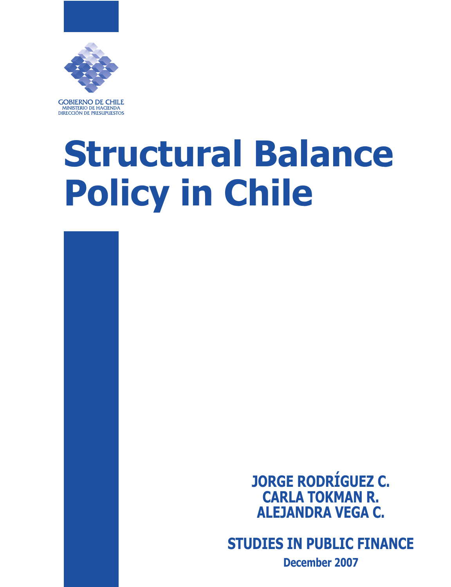

**GOBIERNO DE CHILE** MINISTERIO DE HACIENDA DIRECCIÓN DE PRESUPUESTOS

# **Structural Balance Policy in Chile**

**JORGE RODRÍGUEZ C. CARLA TOKMAN R. ALEJANDRA VEGA C.**

**STUDIES IN PUBLIC FINANCE**

**December 2007**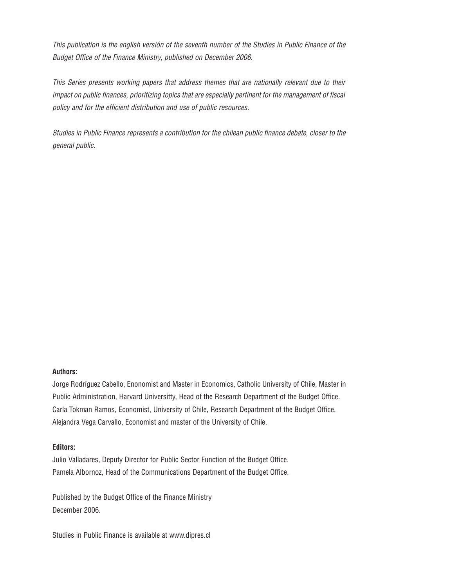This publication is the english versión of the seventh number of the Studies in Public Finance of the Budget Office of the Finance Ministry, published on December 2006.

This Series presents working papers that address themes that are nationally relevant due to their impact on public finances, prioritizing topics that are especially pertinent for the management of fiscal policy and for the efficient distribution and use of public resources.

Studies in Public Finance represents a contribution for the chilean public finance debate, closer to the general public.

#### **Authors:**

Jorge Rodríguez Cabello, Enonomist and Master in Economics, Catholic University of Chile, Master in Public Administration, Harvard Universitty, Head of the Research Department of the Budget Office. Carla Tokman Ramos, Economist, University of Chile, Research Department of the Budget Office. Alejandra Vega Carvallo, Economist and master of the University of Chile.

#### **Editors:**

Julio Valladares, Deputy Director for Public Sector Function of the Budget Office. Pamela Albornoz, Head of the Communications Department of the Budget Office.

Published by the Budget Office of the Finance Ministry December 2006.

Studies in Public Finance is available at www.dipres.cl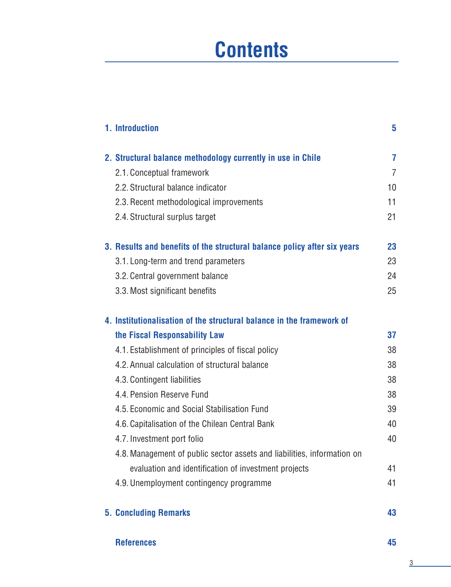# **Contents**

| 1. Introduction                                                          | 5              |
|--------------------------------------------------------------------------|----------------|
| 2. Structural balance methodology currently in use in Chile              | $\overline{7}$ |
| 2.1. Conceptual framework                                                | $\overline{7}$ |
| 2.2. Structural balance indicator                                        | 10             |
| 2.3. Recent methodological improvements                                  | 11             |
| 2.4. Structural surplus target                                           | 21             |
| 3. Results and benefits of the structural balance policy after six years | 23             |
| 3.1. Long-term and trend parameters                                      | 23             |
| 3.2. Central government balance                                          | 24             |
| 3.3. Most significant benefits                                           | 25             |
| 4. Institutionalisation of the structural balance in the framework of    |                |
| the Fiscal Responsability Law                                            | 37             |
| 4.1. Establishment of principles of fiscal policy                        | 38             |
| 4.2. Annual calculation of structural balance                            | 38             |
| 4.3. Contingent liabilities                                              | 38             |
| 4.4. Pension Reserve Fund                                                | 38             |
| 4.5. Economic and Social Stabilisation Fund                              | 39             |
| 4.6. Capitalisation of the Chilean Central Bank                          | 40             |
| 4.7. Investment port folio                                               | 40             |
| 4.8. Management of public sector assets and liabilities, information on  |                |
| evaluation and identification of investment projects                     | 41             |
| 4.9. Unemployment contingency programme                                  | 41             |
| <b>5. Concluding Remarks</b>                                             | 43             |

#### **References 45**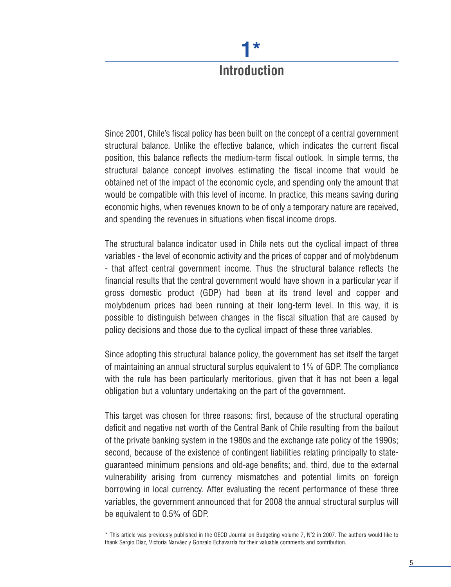# **Introduction**

**1\***

Since 2001, Chile's fiscal policy has been built on the concept of a central government structural balance. Unlike the effective balance, which indicates the current fiscal position, this balance reflects the medium-term fiscal outlook. In simple terms, the structural balance concept involves estimating the fiscal income that would be obtained net of the impact of the economic cycle, and spending only the amount that would be compatible with this level of income. In practice, this means saving during economic highs, when revenues known to be of only a temporary nature are received, and spending the revenues in situations when fiscal income drops.

The structural balance indicator used in Chile nets out the cyclical impact of three variables - the level of economic activity and the prices of copper and of molybdenum - that affect central government income. Thus the structural balance reflects the financial results that the central government would have shown in a particular year if gross domestic product (GDP) had been at its trend level and copper and molybdenum prices had been running at their long-term level. In this way, it is possible to distinguish between changes in the fiscal situation that are caused by policy decisions and those due to the cyclical impact of these three variables.

Since adopting this structural balance policy, the government has set itself the target of maintaining an annual structural surplus equivalent to 1% of GDP. The compliance with the rule has been particularly meritorious, given that it has not been a legal obligation but a voluntary undertaking on the part of the government.

This target was chosen for three reasons: first, because of the structural operating deficit and negative net worth of the Central Bank of Chile resulting from the bailout of the private banking system in the 1980s and the exchange rate policy of the 1990s; second, because of the existence of contingent liabilities relating principally to stateguaranteed minimum pensions and old-age benefits; and, third, due to the external vulnerability arising from currency mismatches and potential limits on foreign borrowing in local currency. After evaluating the recent performance of these three variables, the government announced that for 2008 the annual structural surplus will be equivalent to 0.5% of GDP.

<sup>\*</sup> This article was previously published in the OECD Journal on Budgeting volume 7, N˚2 in 2007. The authors would like to thank Sergio Diaz, Victoria Narváez y Gonzalo Echavarría for their valuable comments and contribution.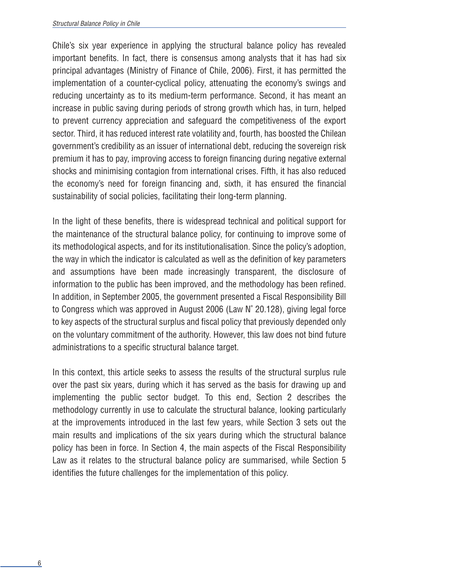Chile's six year experience in applying the structural balance policy has revealed important benefits. In fact, there is consensus among analysts that it has had six principal advantages (Ministry of Finance of Chile, 2006). First, it has permitted the implementation of a counter-cyclical policy, attenuating the economy's swings and reducing uncertainty as to its medium-term performance. Second, it has meant an increase in public saving during periods of strong growth which has, in turn, helped to prevent currency appreciation and safeguard the competitiveness of the export sector. Third, it has reduced interest rate volatility and, fourth, has boosted the Chilean government's credibility as an issuer of international debt, reducing the sovereign risk premium it has to pay, improving access to foreign financing during negative external shocks and minimising contagion from international crises. Fifth, it has also reduced the economy's need for foreign financing and, sixth, it has ensured the financial sustainability of social policies, facilitating their long-term planning.

In the light of these benefits, there is widespread technical and political support for the maintenance of the structural balance policy, for continuing to improve some of its methodological aspects, and for its institutionalisation. Since the policy's adoption, the way in which the indicator is calculated as well as the definition of key parameters and assumptions have been made increasingly transparent, the disclosure of information to the public has been improved, and the methodology has been refined. In addition, in September 2005, the government presented a Fiscal Responsibility Bill to Congress which was approved in August 2006 (Law N˚ 20.128), giving legal force to key aspects of the structural surplus and fiscal policy that previously depended only on the voluntary commitment of the authority. However, this law does not bind future administrations to a specific structural balance target.

In this context, this article seeks to assess the results of the structural surplus rule over the past six years, during which it has served as the basis for drawing up and implementing the public sector budget. To this end, Section 2 describes the methodology currently in use to calculate the structural balance, looking particularly at the improvements introduced in the last few years, while Section 3 sets out the main results and implications of the six years during which the structural balance policy has been in force. In Section 4, the main aspects of the Fiscal Responsibility Law as it relates to the structural balance policy are summarised, while Section 5 identifies the future challenges for the implementation of this policy.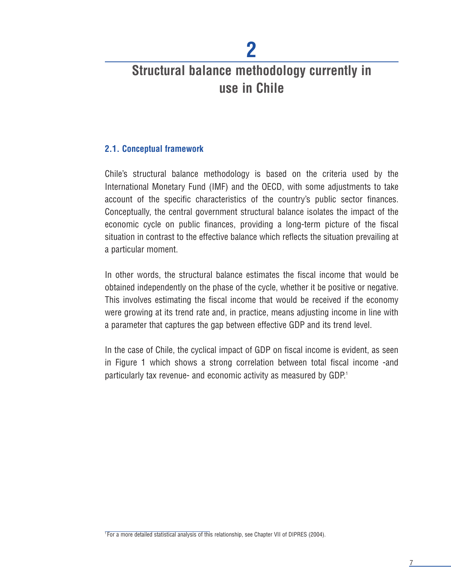# **Structural balance methodology currently in use in Chile**

**2**

#### **2.1. Conceptual framework**

Chile's structural balance methodology is based on the criteria used by the International Monetary Fund (IMF) and the OECD, with some adjustments to take account of the specific characteristics of the country's public sector finances. Conceptually, the central government structural balance isolates the impact of the economic cycle on public finances, providing a long-term picture of the fiscal situation in contrast to the effective balance which reflects the situation prevailing at a particular moment.

In other words, the structural balance estimates the fiscal income that would be obtained independently on the phase of the cycle, whether it be positive or negative. This involves estimating the fiscal income that would be received if the economy were growing at its trend rate and, in practice, means adjusting income in line with a parameter that captures the gap between effective GDP and its trend level.

In the case of Chile, the cyclical impact of GDP on fiscal income is evident, as seen in Figure 1 which shows a strong correlation between total fiscal income -and particularly tax revenue- and economic activity as measured by GDP.<sup>1</sup>

 $\overline{1}$  For a more detailed statistical analysis of this relationship, see Chapter VII of DIPRES (2004).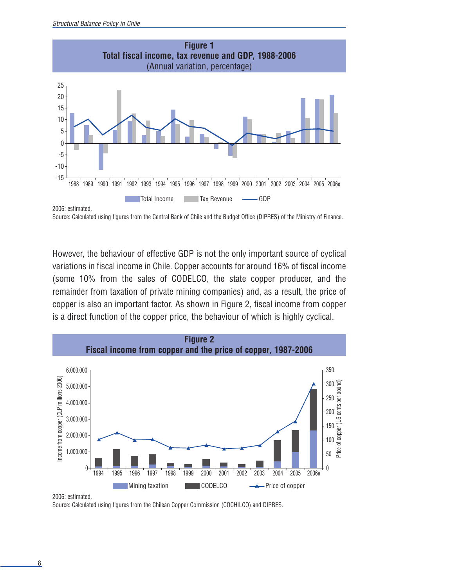

```
Source: Calculated using figures from the Central Bank of Chile and the Budget Office (DIPRES) of the Ministry of Finance.
```
However, the behaviour of effective GDP is not the only important source of cyclical variations in fiscal income in Chile. Copper accounts for around 16% of fiscal income (some 10% from the sales of CODELCO, the state copper producer, and the remainder from taxation of private mining companies) and, as a result, the price of copper is also an important factor. As shown in Figure 2, fiscal income from copper is a direct function of the copper price, the behaviour of which is highly cyclical.



2006: estimated.

Source: Calculated using figures from the Chilean Copper Commission (COCHILCO) and DIPRES.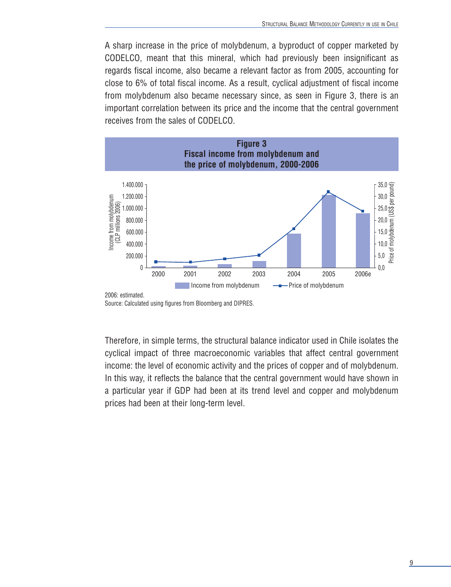A sharp increase in the price of molybdenum, a byproduct of copper marketed by CODELCO, meant that this mineral, which had previously been insignificant as regards fiscal income, also became a relevant factor as from 2005, accounting for close to 6% of total fiscal income. As a result, cyclical adjustment of fiscal income from molybdenum also became necessary since, as seen in Figure 3, there is an important correlation between its price and the income that the central government receives from the sales of CODELCO.



Source: Calculated using figures from Bloomberg and DIPRES.

Therefore, in simple terms, the structural balance indicator used in Chile isolates the cyclical impact of three macroeconomic variables that affect central government income: the level of economic activity and the prices of copper and of molybdenum. In this way, it reflects the balance that the central government would have shown in a particular year if GDP had been at its trend level and copper and molybdenum prices had been at their long-term level.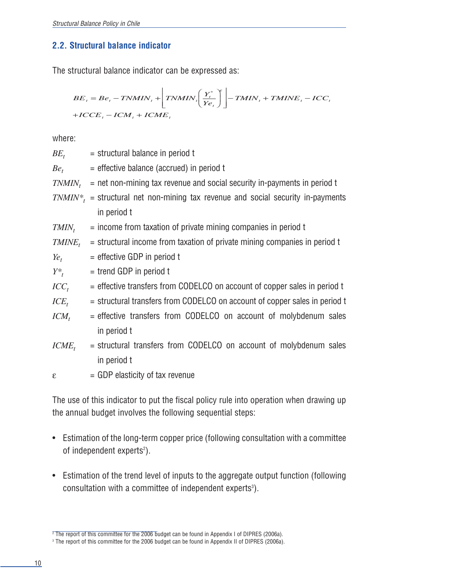#### **2.2. Structural balance indicator**

The structural balance indicator can be expressed as:

$$
BE_{t} = Be_{t} - TNMIN_{t} + \left[ TNMIN_{t} \left( \frac{Y_{t}^{*}}{Ye_{t}} \right)^{2} \right] - TMIN_{t} + TMINE_{t} - ICC_{t}
$$

$$
+ICEE_{t} - ICM_{t} + ICME_{t}
$$

where:

 $BE_t$  = structural balance in period t  $Be<sub>t</sub>$  = effective balance (accrued) in period t  $TNMIN<sub>t</sub>$  = net non-mining tax revenue and social security in-payments in period t  $TNMIN^*$  = structural net non-mining tax revenue and social security in-payments in period t  $TMIN_t$  = income from taxation of private mining companies in period t  $T MINE<sub>t</sub>$  = structural income from taxation of private mining companies in period t  $Ye_t$  = effective GDP in period t  $Y^*$ ,  $=$  trend GDP in period t  $ICC<sub>t</sub>$  = effective transfers from CODELCO on account of copper sales in period t  $ICE<sub>t</sub>$  = structural transfers from CODELCO on account of copper sales in period t  $ICM_t$  = effective transfers from CODELCO on account of molybdenum sales in period t  $ICME_t$  = structural transfers from CODELCO on account of molybdenum sales in period t  $\epsilon$  = GDP elasticity of tax revenue

The use of this indicator to put the fiscal policy rule into operation when drawing up the annual budget involves the following sequential steps:

- Estimation of the long-term copper price (following consultation with a committee of independent experts<sup>2</sup>).
- Estimation of the trend level of inputs to the aggregate output function (following consultation with a committee of independent experts<sup>3</sup>).

 $\overline{P}$ The report of this committee for the 2006 budget can be found in Appendix I of DIPRES (2006a).

<sup>&</sup>lt;sup>3</sup> The report of this committee for the 2006 budget can be found in Appendix II of DIPRES (2006a).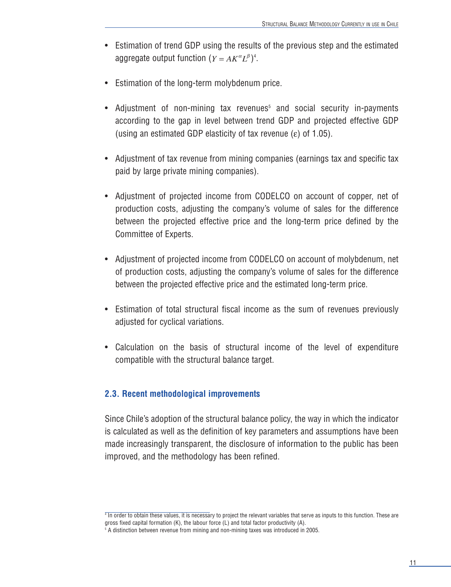- Estimation of trend GDP using the results of the previous step and the estimated aggregate output function  $(Y = AK^{\alpha}L^{\beta})^4$ .
- Estimation of the long-term molybdenum price.
- Adjustment of non-mining tax revenues<sup>5</sup> and social security in-payments according to the gap in level between trend GDP and projected effective GDP (using an estimated GDP elasticity of tax revenue (ε) of 1.05).
- Adjustment of tax revenue from mining companies (earnings tax and specific tax paid by large private mining companies).
- Adjustment of projected income from CODELCO on account of copper, net of production costs, adjusting the company's volume of sales for the difference between the projected effective price and the long-term price defined by the Committee of Experts.
- Adjustment of projected income from CODELCO on account of molybdenum, net of production costs, adjusting the company's volume of sales for the difference between the projected effective price and the estimated long-term price.
- Estimation of total structural fiscal income as the sum of revenues previously adjusted for cyclical variations.
- Calculation on the basis of structural income of the level of expenditure compatible with the structural balance target.

#### **2.3. Recent methodological improvements**

Since Chile's adoption of the structural balance policy, the way in which the indicator is calculated as well as the definition of key parameters and assumptions have been made increasingly transparent, the disclosure of information to the public has been improved, and the methodology has been refined.

<sup>&</sup>lt;sup>4</sup> In order to obtain these values, it is necessary to project the relevant variables that serve as inputs to this function. These are gross fixed capital formation (K), the labour force (L) and total factor productivity (A).

<sup>&</sup>lt;sup>5</sup> A distinction between revenue from mining and non-mining taxes was introduced in 2005.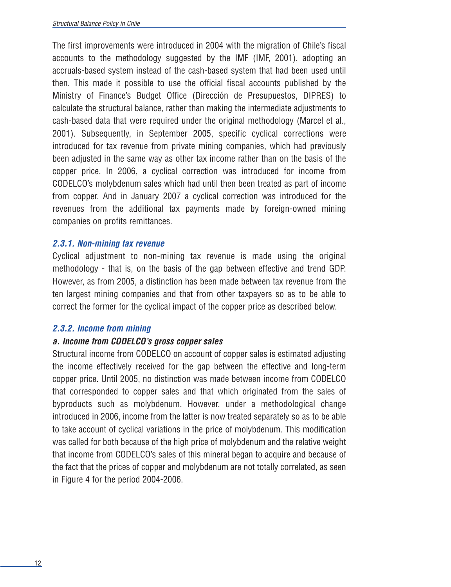The first improvements were introduced in 2004 with the migration of Chile's fiscal accounts to the methodology suggested by the IMF (IMF, 2001), adopting an accruals-based system instead of the cash-based system that had been used until then. This made it possible to use the official fiscal accounts published by the Ministry of Finance's Budget Office (Dirección de Presupuestos, DIPRES) to calculate the structural balance, rather than making the intermediate adjustments to cash-based data that were required under the original methodology (Marcel et al., 2001). Subsequently, in September 2005, specific cyclical corrections were introduced for tax revenue from private mining companies, which had previously been adjusted in the same way as other tax income rather than on the basis of the copper price. In 2006, a cyclical correction was introduced for income from CODELCO's molybdenum sales which had until then been treated as part of income from copper. And in January 2007 a cyclical correction was introduced for the revenues from the additional tax payments made by foreign-owned mining companies on profits remittances.

#### **2.3.1. Non-mining tax revenue**

Cyclical adjustment to non-mining tax revenue is made using the original methodology - that is, on the basis of the gap between effective and trend GDP. However, as from 2005, a distinction has been made between tax revenue from the ten largest mining companies and that from other taxpayers so as to be able to correct the former for the cyclical impact of the copper price as described below.

#### **2.3.2. Income from mining**

#### **a. Income from CODELCO's gross copper sales**

Structural income from CODELCO on account of copper sales is estimated adjusting the income effectively received for the gap between the effective and long-term copper price. Until 2005, no distinction was made between income from CODELCO that corresponded to copper sales and that which originated from the sales of byproducts such as molybdenum. However, under a methodological change introduced in 2006, income from the latter is now treated separately so as to be able to take account of cyclical variations in the price of molybdenum. This modification was called for both because of the high price of molybdenum and the relative weight that income from CODELCO's sales of this mineral began to acquire and because of the fact that the prices of copper and molybdenum are not totally correlated, as seen in Figure 4 for the period 2004-2006.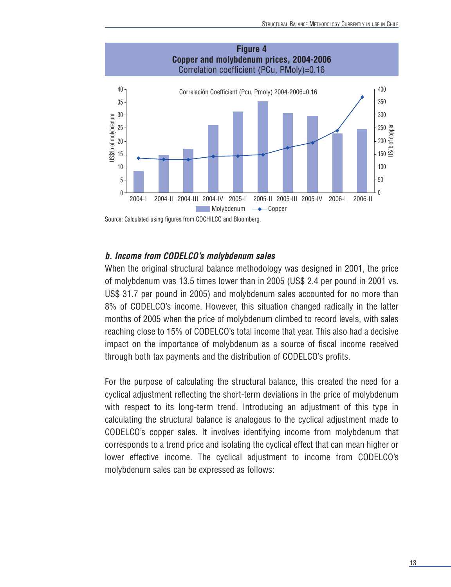

Source: Calculated using figures from COCHILCO and Bloomberg.

#### **b. Income from CODELCO's molybdenum sales**

When the original structural balance methodology was designed in 2001, the price of molybdenum was 13.5 times lower than in 2005 (US\$ 2.4 per pound in 2001 vs. US\$ 31.7 per pound in 2005) and molybdenum sales accounted for no more than 8% of CODELCO's income. However, this situation changed radically in the latter months of 2005 when the price of molybdenum climbed to record levels, with sales reaching close to 15% of CODELCO's total income that year. This also had a decisive impact on the importance of molybdenum as a source of fiscal income received through both tax payments and the distribution of CODELCO's profits.

For the purpose of calculating the structural balance, this created the need for a cyclical adjustment reflecting the short-term deviations in the price of molybdenum with respect to its long-term trend. Introducing an adjustment of this type in calculating the structural balance is analogous to the cyclical adjustment made to CODELCO's copper sales. It involves identifying income from molybdenum that corresponds to a trend price and isolating the cyclical effect that can mean higher or lower effective income. The cyclical adjustment to income from CODELCO's molybdenum sales can be expressed as follows: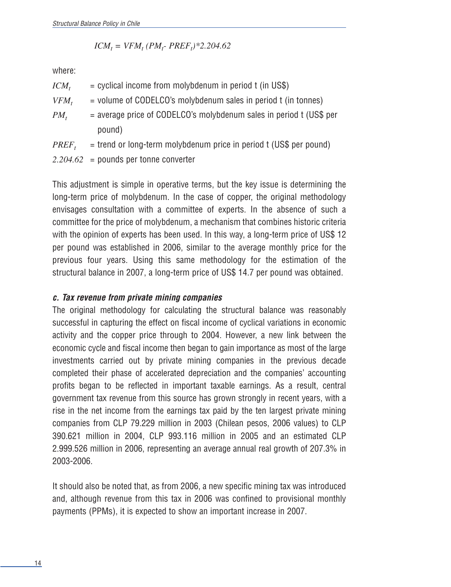$$
ICM_t = VFM_t (PM_t - PREF_t) * 2.204.62
$$

where:

| $ICM_t$    | $=$ cyclical income from molybdenum in period t (in US\$)             |
|------------|-----------------------------------------------------------------------|
| $VFM_t$    | = volume of CODELCO's molybdenum sales in period t (in tonnes)        |
| $PM_t$     | $=$ average price of CODELCO's molybdenum sales in period t (US\$ per |
|            | pound)                                                                |
| $PREF_{t}$ | = trend or long-term molybdenum price in period t (US\$ per pound)    |
|            | $2.204.62$ = pounds per tonne converter                               |

This adjustment is simple in operative terms, but the key issue is determining the long-term price of molybdenum. In the case of copper, the original methodology envisages consultation with a committee of experts. In the absence of such a committee for the price of molybdenum, a mechanism that combines historic criteria with the opinion of experts has been used. In this way, a long-term price of US\$ 12 per pound was established in 2006, similar to the average monthly price for the previous four years. Using this same methodology for the estimation of the structural balance in 2007, a long-term price of US\$ 14.7 per pound was obtained.

#### **c. Tax revenue from private mining companies**

The original methodology for calculating the structural balance was reasonably successful in capturing the effect on fiscal income of cyclical variations in economic activity and the copper price through to 2004. However, a new link between the economic cycle and fiscal income then began to gain importance as most of the large investments carried out by private mining companies in the previous decade completed their phase of accelerated depreciation and the companies' accounting profits began to be reflected in important taxable earnings. As a result, central government tax revenue from this source has grown strongly in recent years, with a rise in the net income from the earnings tax paid by the ten largest private mining companies from CLP 79.229 million in 2003 (Chilean pesos, 2006 values) to CLP 390.621 million in 2004, CLP 993.116 million in 2005 and an estimated CLP 2.999.526 million in 2006, representing an average annual real growth of 207.3% in 2003-2006.

It should also be noted that, as from 2006, a new specific mining tax was introduced and, although revenue from this tax in 2006 was confined to provisional monthly payments (PPMs), it is expected to show an important increase in 2007.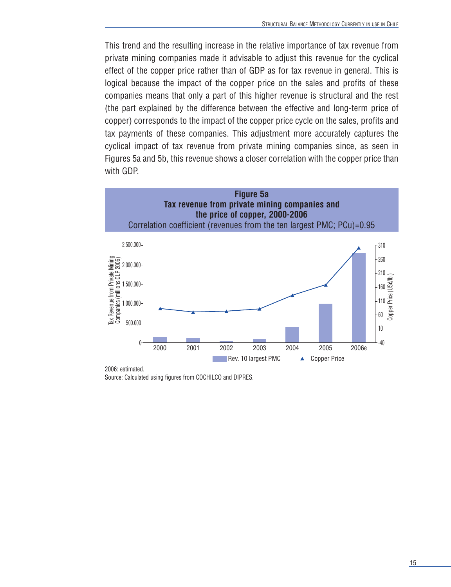This trend and the resulting increase in the relative importance of tax revenue from private mining companies made it advisable to adjust this revenue for the cyclical effect of the copper price rather than of GDP as for tax revenue in general. This is logical because the impact of the copper price on the sales and profits of these companies means that only a part of this higher revenue is structural and the rest (the part explained by the difference between the effective and long-term price of copper) corresponds to the impact of the copper price cycle on the sales, profits and tax payments of these companies. This adjustment more accurately captures the cyclical impact of tax revenue from private mining companies since, as seen in Figures 5a and 5b, this revenue shows a closer correlation with the copper price than with GDP.



2006: estimated. Source: Calculated using figures from COCHILCO and DIPRES.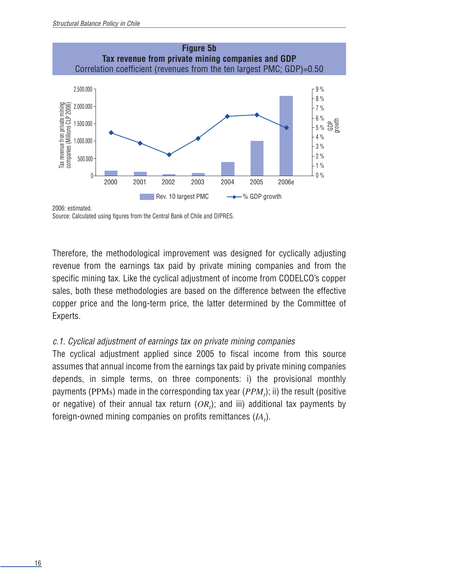

2006: estimated.

Source: Calculated using figures from the Central Bank of Chile and DIPRES.

Therefore, the methodological improvement was designed for cyclically adjusting revenue from the earnings tax paid by private mining companies and from the specific mining tax. Like the cyclical adjustment of income from CODELCO's copper sales, both these methodologies are based on the difference between the effective copper price and the long-term price, the latter determined by the Committee of Experts.

#### c.1. Cyclical adjustment of earnings tax on private mining companies

The cyclical adjustment applied since 2005 to fiscal income from this source assumes that annual income from the earnings tax paid by private mining companies depends, in simple terms, on three components: i) the provisional monthly payments (PPMs) made in the corresponding tax year  $(PPM<sub>t</sub>)$ ; ii) the result (positive or negative) of their annual tax return  $(OR<sub>t</sub>)$ ; and iii) additional tax payments by foreign-owned mining companies on profits remittances  $(I\!A_t)$ .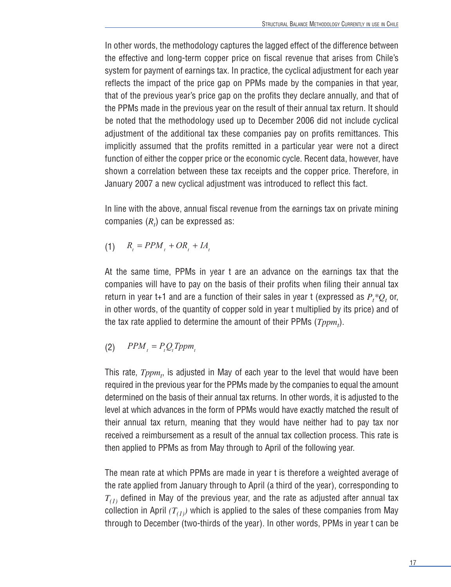In other words, the methodology captures the lagged effect of the difference between the effective and long-term copper price on fiscal revenue that arises from Chile's system for payment of earnings tax. In practice, the cyclical adjustment for each year reflects the impact of the price gap on PPMs made by the companies in that year, that of the previous year's price gap on the profits they declare annually, and that of the PPMs made in the previous year on the result of their annual tax return. It should be noted that the methodology used up to December 2006 did not include cyclical adjustment of the additional tax these companies pay on profits remittances. This implicitly assumed that the profits remitted in a particular year were not a direct function of either the copper price or the economic cycle. Recent data, however, have shown a correlation between these tax receipts and the copper price. Therefore, in January 2007 a new cyclical adjustment was introduced to reflect this fact.

In line with the above, annual fiscal revenue from the earnings tax on private mining companies  $(R_t)$  can be expressed as:

$$
(1) \qquad R_t = PPM_t + OR_t + IA_t
$$

At the same time, PPMs in year t are an advance on the earnings tax that the companies will have to pay on the basis of their profits when filing their annual tax return in year t+1 and are a function of their sales in year t (expressed as  $P_t * Q_t$  or, in other words, of the quantity of copper sold in year t multiplied by its price) and of the tax rate applied to determine the amount of their PPMs  $(Tppm_t)$ .

$$
(2) \qquad PPM_t = P_t Q_t Tppm_t
$$

This rate,  $Tppm_t$ , is adjusted in May of each year to the level that would have been required in the previous year for the PPMs made by the companies to equal the amount determined on the basis of their annual tax returns. In other words, it is adjusted to the level at which advances in the form of PPMs would have exactly matched the result of their annual tax return, meaning that they would have neither had to pay tax nor received a reimbursement as a result of the annual tax collection process. This rate is then applied to PPMs as from May through to April of the following year.

The mean rate at which PPMs are made in year t is therefore a weighted average of the rate applied from January through to April (a third of the year), corresponding to  $T_{(1)}$  defined in May of the previous year, and the rate as adjusted after annual tax collection in April  $(T_{(1)})$  which is applied to the sales of these companies from May through to December (two-thirds of the year). In other words, PPMs in year t can be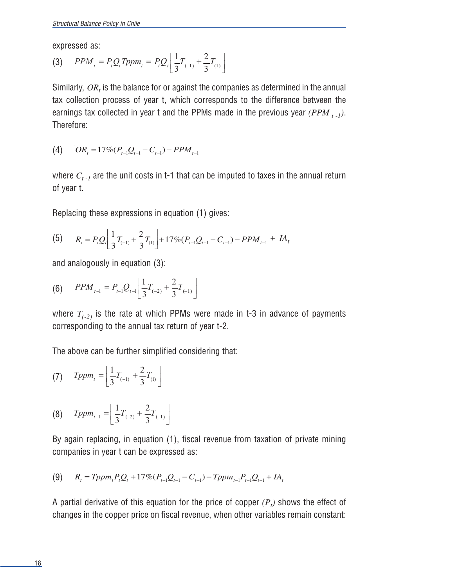expressed as:

(3) 
$$
PPM_{t} = P_{t}Q_{t}Tppm_{t} = P_{t}Q_{t} \left[ \frac{1}{3}T_{(-1)} + \frac{2}{3}T_{(1)} \right]
$$

Similarly, *OR<sub>t</sub>* is the balance for or against the companies as determined in the annual tax collection process of year t, which corresponds to the difference between the earnings tax collected in year t and the PPMs made in the previous year *(PPM*  $_{t-1}$ ). Therefore:

$$
(4) \qquad OR_{t} = 17\% (P_{t-1}Q_{t-1} - C_{t-1}) - PPM_{t-1}
$$

where  $C_{t-1}$  are the unit costs in t-1 that can be imputed to taxes in the annual return of year t.

Replacing these expressions in equation (1) gives:

(5) 
$$
R_t = P_t Q_t \left[ \frac{1}{3} T_{(-1)} + \frac{2}{3} T_{(1)} \right] + 17\% (P_{t-1} Q_{t-1} - C_{t-1}) - P P M_{t-1} + I A_t
$$

and analogously in equation (3):

$$
(6) \qquad PPM_{t-1} = P_{t-1}Q_{t-1} \left[ \frac{1}{3}T_{(-2)} + \frac{2}{3}T_{(-1)} \right]
$$

where  $T_{(-2)}$  is the rate at which PPMs were made in t-3 in advance of payments corresponding to the annual tax return of year t-2.

The above can be further simplified considering that:

(7) 
$$
Tppm_{t} = \left[\frac{1}{3}T_{(-1)} + \frac{2}{3}T_{(1)}\right]
$$

$$
(8) \quad Tppm_{t-1} = \left[ \frac{1}{3} T_{(-2)} + \frac{2}{3} T_{(-1)} \right]
$$

By again replacing, in equation (1), fiscal revenue from taxation of private mining companies in year t can be expressed as:

$$
(9) \qquad R_{t} = Tppm_{t}P_{t}Q_{t} + 17\% (P_{t-1}Q_{t-1} - C_{t-1}) - Tppm_{t-1}P_{t-1}Q_{t-1} + IA_{t}
$$

A partial derivative of this equation for the price of copper  $(P_t)$  shows the effect of changes in the copper price on fiscal revenue, when other variables remain constant: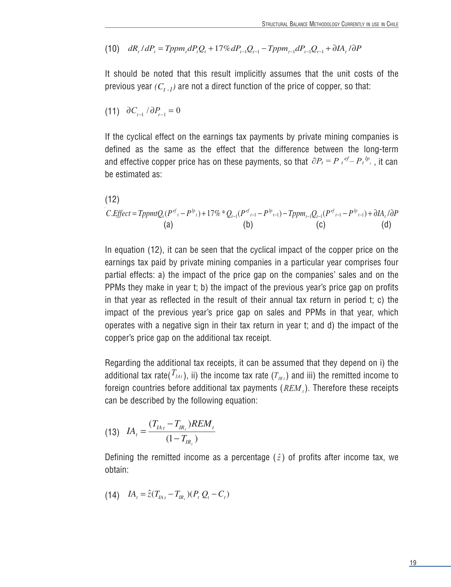(10) 
$$
dR_t \cdot dP_t = Tppm_t dP_t Q_t + 17\% dP_{t-1} Q_{t-1} - Tppm_{t-1} dP_{t-1} Q_{t-1} + \partial I A_t / \partial P
$$

It should be noted that this result implicitly assumes that the unit costs of the previous year  $(C_{t-1})$  are not a direct function of the price of copper, so that:

$$
(11) \quad \partial C_{t-1} / \partial P_{t-1} = 0
$$

and effective copper price has on these payments, so that  $\partial P_t = P_t{}^{ef} - P_t{}^{lp}$ , , it can If the cyclical effect on the earnings tax payments by private mining companies is defined as the same as the effect that the difference between the long-term be estimated as:

(12)  
\n
$$
C.Effect = TppmtQ_t(P^{ef} - P^{lp} + 17\% * Q_{t-1}(P^{ef} - P^{lp} - 1) - Tppm_{t-1}Q_{t-1}(P^{ef} - P^{lp} - 1) + \partial I A_t/\partial P
$$
\n(a) (b) (c) (d)

In equation (12), it can be seen that the cyclical impact of the copper price on the earnings tax paid by private mining companies in a particular year comprises four partial effects: a) the impact of the price gap on the companies' sales and on the PPMs they make in year t; b) the impact of the previous year's price gap on profits in that year as reflected in the result of their annual tax return in period t; c) the impact of the previous year's price gap on sales and PPMs in that year, which operates with a negative sign in their tax return in year t; and d) the impact of the copper's price gap on the additional tax receipt.

Regarding the additional tax receipts, it can be assumed that they depend on i) the additional tax rate(  $T_{\scriptscriptstyle{IAt}}$  ), ii) the income tax rate ( $T_{\scriptscriptstyle{IR}}$  ) and iii) the remitted income to foreign countries before additional tax payments  $(REM_t)$ . Therefore these receipts can be described by the following equation:

(13) 
$$
IA_{t} = \frac{(T_{IA_{t}} - T_{IR_{t}})REM_{t}}{(1 - T_{IR_{t}})}
$$

Defining the remitted income as a percentage  $(\hat{z})$  of profits after income tax, we obtain:

(14) 
$$
IA_t = \hat{z}(T_{IA_t} - T_{IR_t})(P_t Q_t - C_t)
$$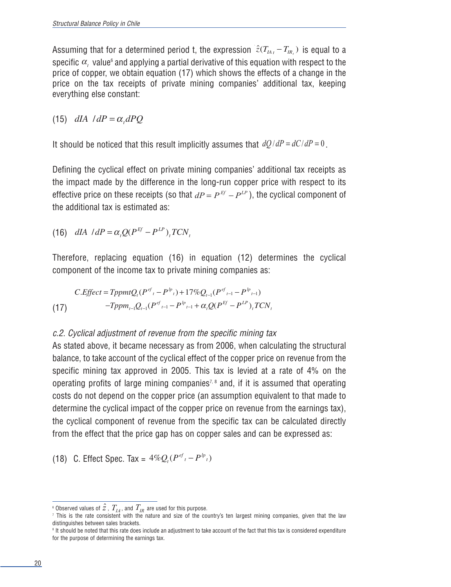Assuming that for a determined period t, the expression  $\hat{z}(T_{_{fA}}-T_{_{IR_{_{t}}}})$  is equal to a specific  $\alpha_{_t}$  value $^{\circ}$  and applying a partial derivative of this equation with respect to the price of copper, we obtain equation (17) which shows the effects of a change in the price on the tax receipts of private mining companies' additional tax, keeping everything else constant:

(15)  $dIA$  /  $dP = \alpha_t dPQ$ 

It should be noticed that this result implicitly assumes that  $dQ/dP = dC/dP = 0$ .

Defining the cyclical effect on private mining companies' additional tax receipts as the impact made by the difference in the long-run copper price with respect to its effective price on these receipts (so that  $dP = P^{Ef} - P^{LP}$ ), the cyclical component of the additional tax is estimated as:

(16) 
$$
dIA \cdot/dP = \alpha_t Q(P^{Ef} - P^{LP})_t TCN_t
$$

Therefore, replacing equation (16) in equation (12) determines the cyclical component of the income tax to private mining companies as:

(17) 
$$
C.Effect = TppmtQ_t(P^{ef_t} - P^{lp_t}) + 17\%Q_{t-1}(P^{ef_{t-1}} - P^{lp_{t-1}})
$$

$$
-Tppm_{t-1}Q_{t-1}(P^{ef_{t-1}} - P^{lp_{t-1}} + \alpha_t Q(P^{Ef} - P^{LP})_t TCN_t
$$

#### c.2. Cyclical adjustment of revenue from the specific mining tax

As stated above, it became necessary as from 2006, when calculating the structural balance, to take account of the cyclical effect of the copper price on revenue from the specific mining tax approved in 2005. This tax is levied at a rate of 4% on the operating profits of large mining companies<sup>7, 8</sup> and, if it is assumed that operating costs do not depend on the copper price (an assumption equivalent to that made to determine the cyclical impact of the copper price on revenue from the earnings tax), the cyclical component of revenue from the specific tax can be calculated directly from the effect that the price gap has on copper sales and can be expressed as:

(18) C. Effect Spec. Tax =  $4\%Q_t(P^{ef} - P^{lp}t)$ 

 $^{\circ}$  Observed values of  $\hat{z}$  ,  $\emph{T}_{IA}$  , and  $\emph{T}_{IR}$  are used for this purpose.

<sup>7</sup> This is the rate consistent with the nature and size of the country's ten largest mining companies, given that the law distinguishes between sales brackets.

<sup>&</sup>lt;sup>8</sup> It should be noted that this rate does include an adjustment to take account of the fact that this tax is considered expenditure for the purpose of determining the earnings tax.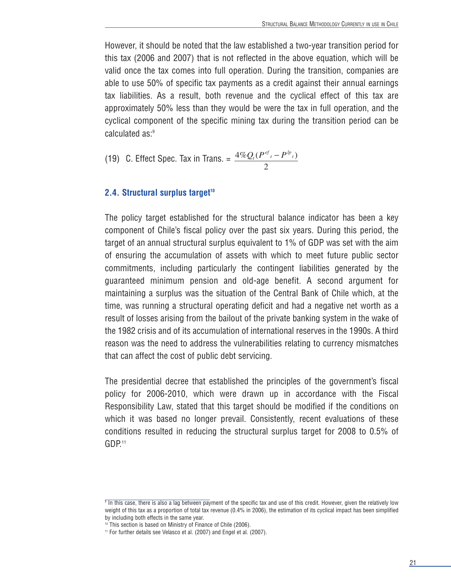However, it should be noted that the law established a two-year transition period for this tax (2006 and 2007) that is not reflected in the above equation, which will be valid once the tax comes into full operation. During the transition, companies are able to use 50% of specific tax payments as a credit against their annual earnings tax liabilities. As a result, both revenue and the cyclical effect of this tax are approximately 50% less than they would be were the tax in full operation, and the cyclical component of the specific mining tax during the transition period can be calculated as:9

(19) C. Effect Spec. Tax in Trans. = 
$$
\frac{4\%Q_i(P^{ef} - P^{lp} \cdot)}{2}
$$

#### **2.4. Structural surplus target<sup>10</sup>**

The policy target established for the structural balance indicator has been a key component of Chile's fiscal policy over the past six years. During this period, the target of an annual structural surplus equivalent to 1% of GDP was set with the aim of ensuring the accumulation of assets with which to meet future public sector commitments, including particularly the contingent liabilities generated by the guaranteed minimum pension and old-age benefit. A second argument for maintaining a surplus was the situation of the Central Bank of Chile which, at the time, was running a structural operating deficit and had a negative net worth as a result of losses arising from the bailout of the private banking system in the wake of the 1982 crisis and of its accumulation of international reserves in the 1990s. A third reason was the need to address the vulnerabilities relating to currency mismatches that can affect the cost of public debt servicing.

The presidential decree that established the principles of the government's fiscal policy for 2006-2010, which were drawn up in accordance with the Fiscal Responsibility Law, stated that this target should be modified if the conditions on which it was based no longer prevail. Consistently, recent evaluations of these conditions resulted in reducing the structural surplus target for 2008 to 0.5% of GDP.<sup>11</sup>

 $\frac{1}{9}$  In this case, there is also a lag between payment of the specific tax and use of this credit. However, given the relatively low weight of this tax as a proportion of total tax revenue (0.4% in 2006), the estimation of its cyclical impact has been simplified by including both effects in the same year.

<sup>10</sup> This section is based on Ministry of Finance of Chile (2006).

<sup>11</sup> For further details see Velasco et al. (2007) and Engel et al. (2007).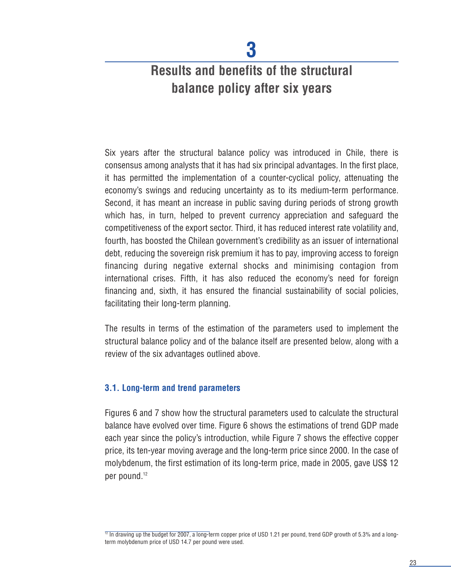## **Results and benefits of the structural balance policy after six years**

Six years after the structural balance policy was introduced in Chile, there is consensus among analysts that it has had six principal advantages. In the first place, it has permitted the implementation of a counter-cyclical policy, attenuating the economy's swings and reducing uncertainty as to its medium-term performance. Second, it has meant an increase in public saving during periods of strong growth which has, in turn, helped to prevent currency appreciation and safeguard the competitiveness of the export sector. Third, it has reduced interest rate volatility and, fourth, has boosted the Chilean government's credibility as an issuer of international debt, reducing the sovereign risk premium it has to pay, improving access to foreign financing during negative external shocks and minimising contagion from international crises. Fifth, it has also reduced the economy's need for foreign financing and, sixth, it has ensured the financial sustainability of social policies, facilitating their long-term planning.

The results in terms of the estimation of the parameters used to implement the structural balance policy and of the balance itself are presented below, along with a review of the six advantages outlined above.

#### **3.1. Long-term and trend parameters**

Figures 6 and 7 show how the structural parameters used to calculate the structural balance have evolved over time. Figure 6 shows the estimations of trend GDP made each year since the policy's introduction, while Figure 7 shows the effective copper price, its ten-year moving average and the long-term price since 2000. In the case of molybdenum, the first estimation of its long-term price, made in 2005, gave US\$ 12 per pound.<sup>12</sup>

 $\frac{1}{12}$  In drawing up the budget for 2007, a long-term copper price of USD 1.21 per pound, trend GDP growth of 5.3% and a longterm molybdenum price of USD 14.7 per pound were used.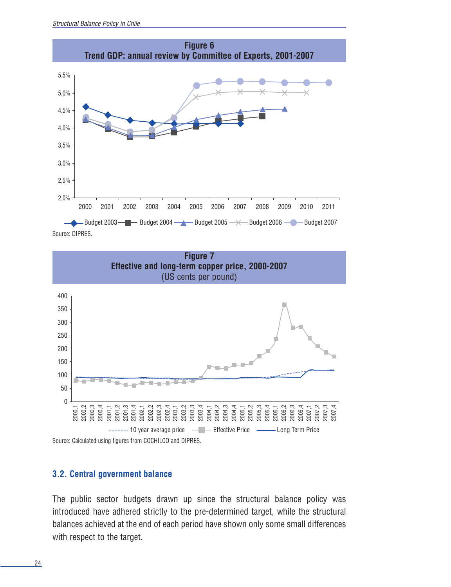



#### **3.2. Central government balance**

The public sector budgets drawn up since the structural balance policy was introduced have adhered strictly to the pre-determined target, while the structural balances achieved at the end of each period have shown only some small differences with respect to the target.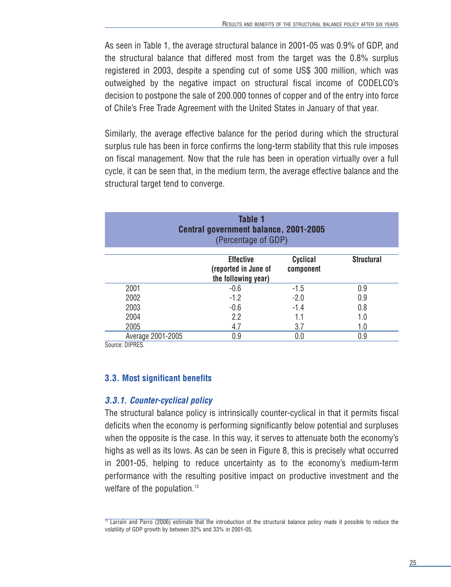As seen in Table 1, the average structural balance in 2001-05 was 0.9% of GDP, and the structural balance that differed most from the target was the 0.8% surplus registered in 2003, despite a spending cut of some US\$ 300 million, which was outweighed by the negative impact on structural fiscal income of CODELCO's decision to postpone the sale of 200.000 tonnes of copper and of the entry into force of Chile's Free Trade Agreement with the United States in January of that year.

Similarly, the average effective balance for the period during which the structural surplus rule has been in force confirms the long-term stability that this rule imposes on fiscal management. Now that the rule has been in operation virtually over a full cycle, it can be seen that, in the medium term, the average effective balance and the structural target tend to converge.

| <b>Table 1</b><br>Central government balance, 2001-2005<br>(Percentage of GDP) |                                                                 |                              |                   |  |
|--------------------------------------------------------------------------------|-----------------------------------------------------------------|------------------------------|-------------------|--|
|                                                                                | <b>Effective</b><br>(reported in June of<br>the following year) | <b>Cyclical</b><br>component | <b>Structural</b> |  |
| 2001                                                                           | $-0.6$                                                          | $-1.5$                       | 0.9               |  |
| 2002                                                                           | $-1.2$                                                          | $-2.0$                       | 0.9               |  |
| 2003                                                                           | $-0.6$                                                          | $-1.4$                       | 0.8               |  |
| 2004                                                                           | 2.2                                                             | 1.1                          | 1.0               |  |
| 2005                                                                           | 4.7                                                             | 3.7                          | 1.0               |  |
| Average 2001-2005                                                              | 0.9                                                             | 0.0                          | 0.9               |  |

Source: DIPRES.

#### **3.3. Most significant benefits**

#### **3.3.1. Counter-cyclical policy**

The structural balance policy is intrinsically counter-cyclical in that it permits fiscal deficits when the economy is performing significantly below potential and surpluses when the opposite is the case. In this way, it serves to attenuate both the economy's highs as well as its lows. As can be seen in Figure 8, this is precisely what occurred in 2001-05, helping to reduce uncertainty as to the economy's medium-term performance with the resulting positive impact on productive investment and the welfare of the population.<sup>13</sup>

 $13$  Larraín and Parro (2006) estimate that the introduction of the structural balance policy made it possible to reduce the volatility of GDP growth by between 32% and 33% in 2001-05.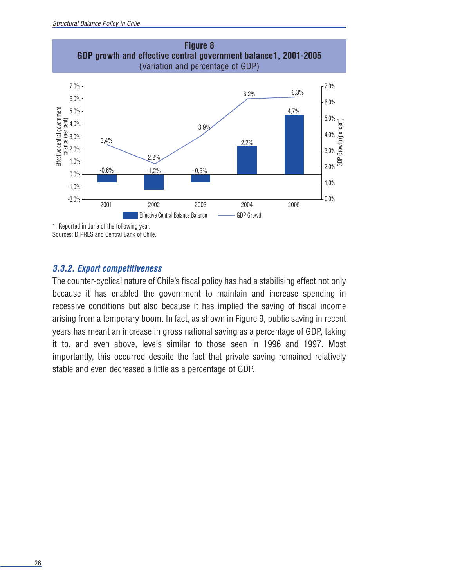

1. Reported in June of the following year. Sources: DIPRES and Central Bank of Chile.

#### **3.3.2. Export competitiveness**

The counter-cyclical nature of Chile's fiscal policy has had a stabilising effect not only because it has enabled the government to maintain and increase spending in recessive conditions but also because it has implied the saving of fiscal income arising from a temporary boom. In fact, as shown in Figure 9, public saving in recent years has meant an increase in gross national saving as a percentage of GDP, taking it to, and even above, levels similar to those seen in 1996 and 1997. Most importantly, this occurred despite the fact that private saving remained relatively stable and even decreased a little as a percentage of GDP.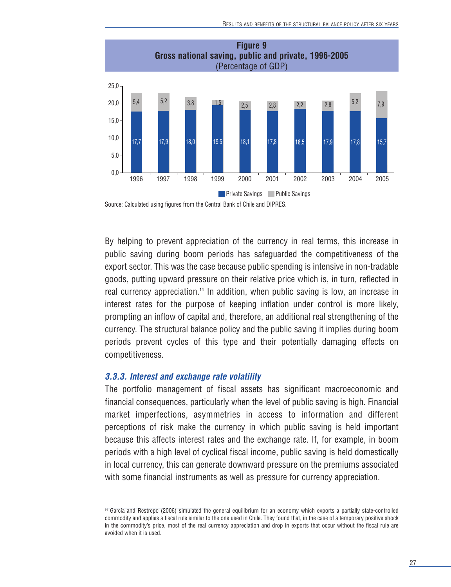

Source: Calculated using figures from the Central Bank of Chile and DIPRES.

By helping to prevent appreciation of the currency in real terms, this increase in public saving during boom periods has safeguarded the competitiveness of the export sector. This was the case because public spending is intensive in non-tradable goods, putting upward pressure on their relative price which is, in turn, reflected in real currency appreciation.<sup>14</sup> In addition, when public saving is low, an increase in interest rates for the purpose of keeping inflation under control is more likely, prompting an inflow of capital and, therefore, an additional real strengthening of the currency. The structural balance policy and the public saving it implies during boom periods prevent cycles of this type and their potentially damaging effects on competitiveness.

#### **3.3.3. Interest and exchange rate volatility**

The portfolio management of fiscal assets has significant macroeconomic and financial consequences, particularly when the level of public saving is high. Financial market imperfections, asymmetries in access to information and different perceptions of risk make the currency in which public saving is held important because this affects interest rates and the exchange rate. If, for example, in boom periods with a high level of cyclical fiscal income, public saving is held domestically in local currency, this can generate downward pressure on the premiums associated with some financial instruments as well as pressure for currency appreciation.

<sup>&</sup>lt;sup>14</sup> García and Restrepo (2006) simulated the general equilibrium for an economy which exports a partially state-controlled commodity and applies a fiscal rule similar to the one used in Chile. They found that, in the case of a temporary positive shock in the commodity's price, most of the real currency appreciation and drop in exports that occur without the fiscal rule are avoided when it is used.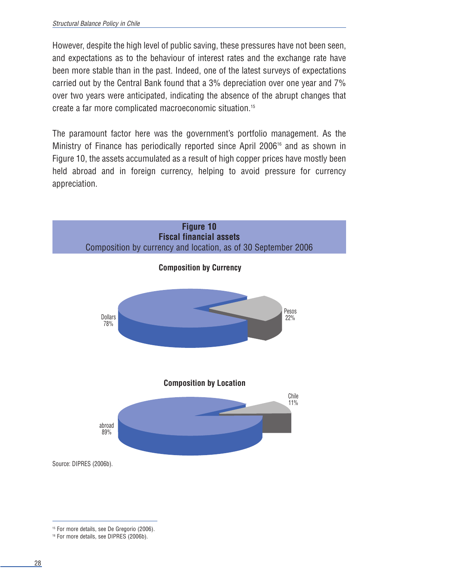However, despite the high level of public saving, these pressures have not been seen, and expectations as to the behaviour of interest rates and the exchange rate have been more stable than in the past. Indeed, one of the latest surveys of expectations carried out by the Central Bank found that a 3% depreciation over one year and 7% over two years were anticipated, indicating the absence of the abrupt changes that create a far more complicated macroeconomic situation.15

The paramount factor here was the government's portfolio management. As the Ministry of Finance has periodically reported since April 2006<sup>16</sup> and as shown in Figure 10, the assets accumulated as a result of high copper prices have mostly been held abroad and in foreign currency, helping to avoid pressure for currency appreciation.



<sup>&</sup>lt;sup>15</sup> For more details, see De Gregorio (2006).

<sup>&</sup>lt;sup>16</sup> For more details, see DIPRES (2006b).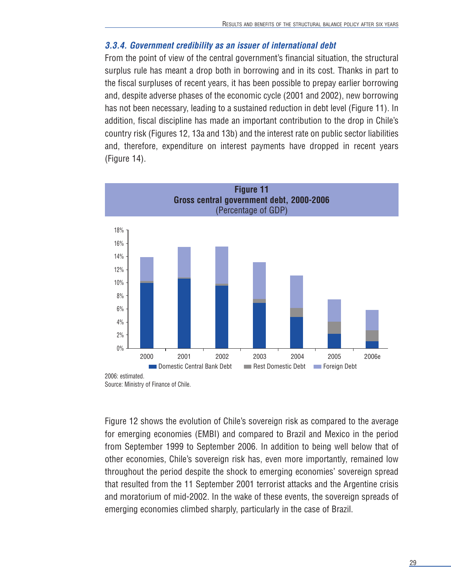#### **3.3.4. Government credibility as an issuer of international debt**

From the point of view of the central government's financial situation, the structural surplus rule has meant a drop both in borrowing and in its cost. Thanks in part to the fiscal surpluses of recent years, it has been possible to prepay earlier borrowing and, despite adverse phases of the economic cycle (2001 and 2002), new borrowing has not been necessary, leading to a sustained reduction in debt level (Figure 11). In addition, fiscal discipline has made an important contribution to the drop in Chile's country risk (Figures 12, 13a and 13b) and the interest rate on public sector liabilities and, therefore, expenditure on interest payments have dropped in recent years (Figure 14).



Figure 12 shows the evolution of Chile's sovereign risk as compared to the average for emerging economies (EMBI) and compared to Brazil and Mexico in the period from September 1999 to September 2006. In addition to being well below that of other economies, Chile's sovereign risk has, even more importantly, remained low throughout the period despite the shock to emerging economies' sovereign spread that resulted from the 11 September 2001 terrorist attacks and the Argentine crisis and moratorium of mid-2002. In the wake of these events, the sovereign spreads of emerging economies climbed sharply, particularly in the case of Brazil.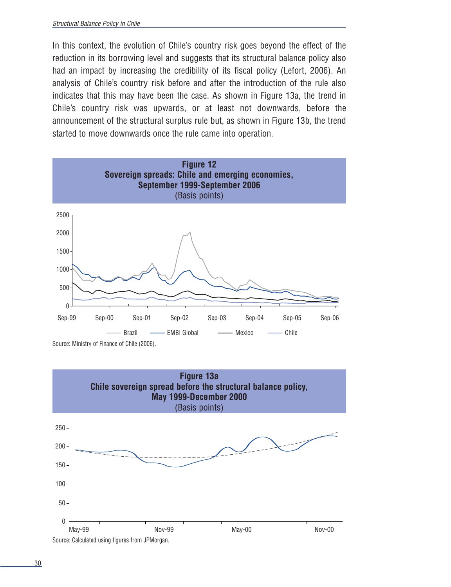In this context, the evolution of Chile's country risk goes beyond the effect of the reduction in its borrowing level and suggests that its structural balance policy also had an impact by increasing the credibility of its fiscal policy (Lefort, 2006). An analysis of Chile's country risk before and after the introduction of the rule also indicates that this may have been the case. As shown in Figure 13a, the trend in Chile's country risk was upwards, or at least not downwards, before the announcement of the structural surplus rule but, as shown in Figure 13b, the trend started to move downwards once the rule came into operation.



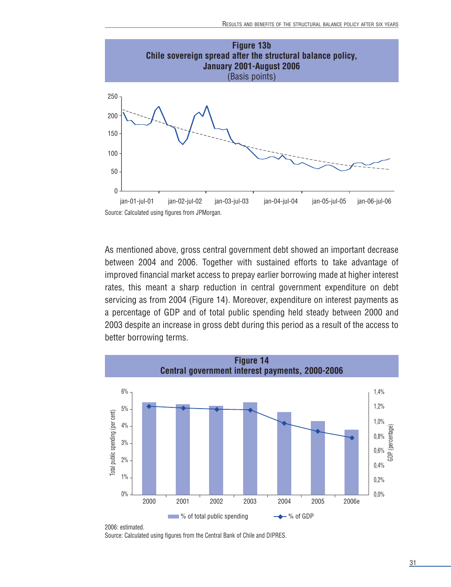

As mentioned above, gross central government debt showed an important decrease between 2004 and 2006. Together with sustained efforts to take advantage of improved financial market access to prepay earlier borrowing made at higher interest rates, this meant a sharp reduction in central government expenditure on debt servicing as from 2004 (Figure 14). Moreover, expenditure on interest payments as a percentage of GDP and of total public spending held steady between 2000 and 2003 despite an increase in gross debt during this period as a result of the access to better borrowing terms.



2006: estimated. Source: Calculated using figures from the Central Bank of Chile and DIPRES.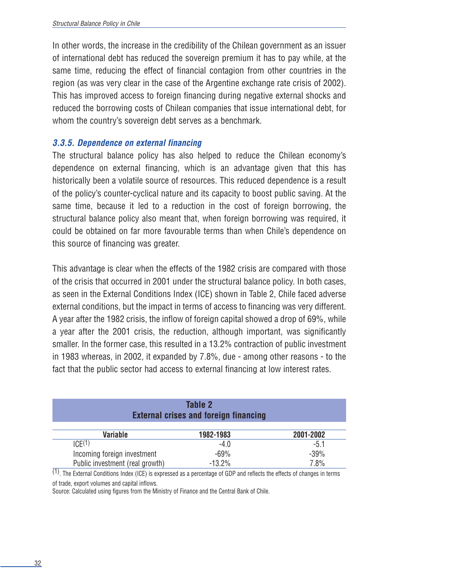In other words, the increase in the credibility of the Chilean government as an issuer of international debt has reduced the sovereign premium it has to pay while, at the same time, reducing the effect of financial contagion from other countries in the region (as was very clear in the case of the Argentine exchange rate crisis of 2002). This has improved access to foreign financing during negative external shocks and reduced the borrowing costs of Chilean companies that issue international debt, for whom the country's sovereign debt serves as a benchmark.

#### **3.3.5. Dependence on external financing**

The structural balance policy has also helped to reduce the Chilean economy's dependence on external financing, which is an advantage given that this has historically been a volatile source of resources. This reduced dependence is a result of the policy's counter-cyclical nature and its capacity to boost public saving. At the same time, because it led to a reduction in the cost of foreign borrowing, the structural balance policy also meant that, when foreign borrowing was required, it could be obtained on far more favourable terms than when Chile's dependence on this source of financing was greater.

This advantage is clear when the effects of the 1982 crisis are compared with those of the crisis that occurred in 2001 under the structural balance policy. In both cases, as seen in the External Conditions Index (ICE) shown in Table 2, Chile faced adverse external conditions, but the impact in terms of access to financing was very different. A year after the 1982 crisis, the inflow of foreign capital showed a drop of 69%, while a year after the 2001 crisis, the reduction, although important, was significantly smaller. In the former case, this resulted in a 13.2% contraction of public investment in 1983 whereas, in 2002, it expanded by 7.8%, due - among other reasons - to the fact that the public sector had access to external financing at low interest rates.

| Table 2<br><b>External crises and foreign financing</b> |           |           |  |  |
|---------------------------------------------------------|-----------|-----------|--|--|
| <b>Variable</b>                                         | 1982-1983 | 2001-2002 |  |  |
| ICE(1)                                                  | -4.0      | $-5.1$    |  |  |
| Incoming foreign investment                             | $-69%$    | $-39%$    |  |  |
| Public investment (real growth)                         | $-13.2%$  | 7.8%      |  |  |

(1). The External Conditions Index (ICE) is expressed as a percentage of GDP and reflects the effects of changes in terms of trade, export volumes and capital inflows.

Source: Calculated using figures from the Ministry of Finance and the Central Bank of Chile.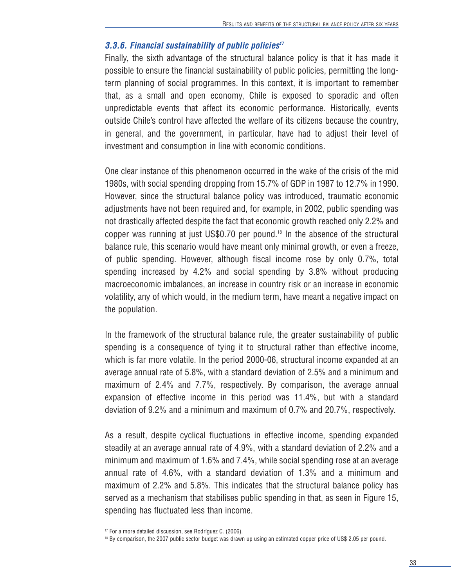#### **3.3.6. Financial sustainability of public policies17**

Finally, the sixth advantage of the structural balance policy is that it has made it possible to ensure the financial sustainability of public policies, permitting the longterm planning of social programmes. In this context, it is important to remember that, as a small and open economy, Chile is exposed to sporadic and often unpredictable events that affect its economic performance. Historically, events outside Chile's control have affected the welfare of its citizens because the country, in general, and the government, in particular, have had to adjust their level of investment and consumption in line with economic conditions.

One clear instance of this phenomenon occurred in the wake of the crisis of the mid 1980s, with social spending dropping from 15.7% of GDP in 1987 to 12.7% in 1990. However, since the structural balance policy was introduced, traumatic economic adjustments have not been required and, for example, in 2002, public spending was not drastically affected despite the fact that economic growth reached only 2.2% and copper was running at just US\$0.70 per pound.18 In the absence of the structural balance rule, this scenario would have meant only minimal growth, or even a freeze, of public spending. However, although fiscal income rose by only 0.7%, total spending increased by 4.2% and social spending by 3.8% without producing macroeconomic imbalances, an increase in country risk or an increase in economic volatility, any of which would, in the medium term, have meant a negative impact on the population.

In the framework of the structural balance rule, the greater sustainability of public spending is a consequence of tying it to structural rather than effective income, which is far more volatile. In the period 2000-06, structural income expanded at an average annual rate of 5.8%, with a standard deviation of 2.5% and a minimum and maximum of 2.4% and 7.7%, respectively. By comparison, the average annual expansion of effective income in this period was 11.4%, but with a standard deviation of 9.2% and a minimum and maximum of 0.7% and 20.7%, respectively.

As a result, despite cyclical fluctuations in effective income, spending expanded steadily at an average annual rate of 4.9%, with a standard deviation of 2.2% and a minimum and maximum of 1.6% and 7.4%, while social spending rose at an average annual rate of 4.6%, with a standard deviation of 1.3% and a minimum and maximum of 2.2% and 5.8%. This indicates that the structural balance policy has served as a mechanism that stabilises public spending in that, as seen in Figure 15, spending has fluctuated less than income.

<sup>&</sup>lt;sup>17</sup> For a more detailed discussion, see Rodríguez C. (2006).

<sup>&</sup>lt;sup>18</sup> By comparison, the 2007 public sector budget was drawn up using an estimated copper price of US\$ 2.05 per pound.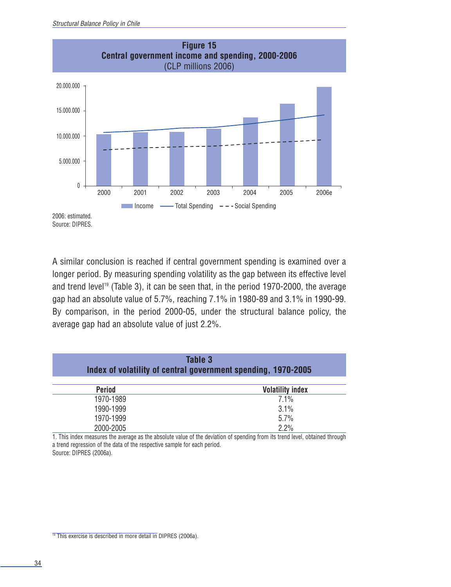

A similar conclusion is reached if central government spending is examined over a longer period. By measuring spending volatility as the gap between its effective level and trend level<sup>19</sup> (Table 3), it can be seen that, in the period 1970-2000, the average gap had an absolute value of 5.7%, reaching 7.1% in 1980-89 and 3.1% in 1990-99. By comparison, in the period 2000-05, under the structural balance policy, the average gap had an absolute value of just 2.2%.

| Table 3<br>Index of volatility of central government spending, 1970-2005 |                         |  |  |  |
|--------------------------------------------------------------------------|-------------------------|--|--|--|
| <b>Period</b>                                                            | <b>Volatility index</b> |  |  |  |
| 1970-1989                                                                | $7.1\%$                 |  |  |  |
| 1990-1999                                                                | $3.1\%$                 |  |  |  |
| 1970-1999                                                                | 5.7%                    |  |  |  |
| 2000-2005                                                                | 2.2%                    |  |  |  |

1. This index measures the average as the absolute value of the deviation of spending from its trend level, obtained through a trend regression of the data of the respective sample for each period. Source: DIPRES (2006a).

 $19$  This exercise is described in more detail in DIPRES (2006a).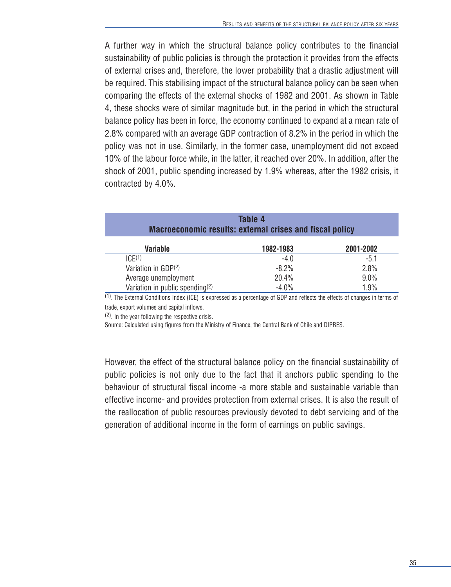A further way in which the structural balance policy contributes to the financial sustainability of public policies is through the protection it provides from the effects of external crises and, therefore, the lower probability that a drastic adjustment will be required. This stabilising impact of the structural balance policy can be seen when comparing the effects of the external shocks of 1982 and 2001. As shown in Table 4, these shocks were of similar magnitude but, in the period in which the structural balance policy has been in force, the economy continued to expand at a mean rate of 2.8% compared with an average GDP contraction of 8.2% in the period in which the policy was not in use. Similarly, in the former case, unemployment did not exceed 10% of the labour force while, in the latter, it reached over 20%. In addition, after the shock of 2001, public spending increased by 1.9% whereas, after the 1982 crisis, it contracted by 4.0%.

| Table 4<br><b>Macroeconomic results: external crises and fiscal policy</b> |           |           |  |  |
|----------------------------------------------------------------------------|-----------|-----------|--|--|
| <b>Variable</b>                                                            | 1982-1983 | 2001-2002 |  |  |
| ICF(1)                                                                     | $-4.0$    | $-5.1$    |  |  |
| Variation in GDP(2)                                                        | $-8.2%$   | 2.8%      |  |  |
| Average unemployment                                                       | 20.4%     | 9.0%      |  |  |
| Variation in public spending(2)                                            | $-4.0\%$  | 1.9%      |  |  |

(1). The External Conditions Index (ICE) is expressed as a percentage of GDP and reflects the effects of changes in terms of trade, export volumes and capital inflows.

(2). In the year following the respective crisis.

Source: Calculated using figures from the Ministry of Finance, the Central Bank of Chile and DIPRES.

However, the effect of the structural balance policy on the financial sustainability of public policies is not only due to the fact that it anchors public spending to the behaviour of structural fiscal income -a more stable and sustainable variable than effective income- and provides protection from external crises. It is also the result of the reallocation of public resources previously devoted to debt servicing and of the generation of additional income in the form of earnings on public savings.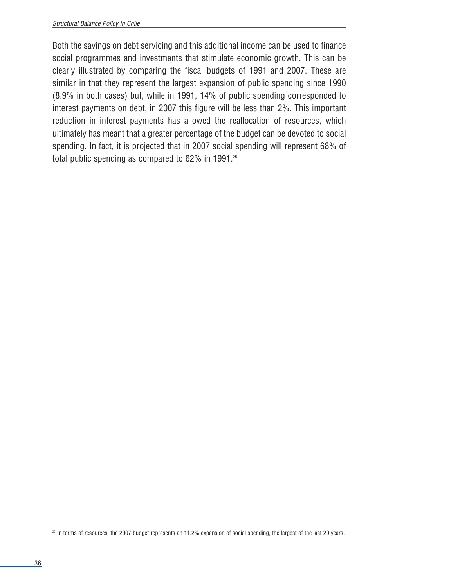Both the savings on debt servicing and this additional income can be used to finance social programmes and investments that stimulate economic growth. This can be clearly illustrated by comparing the fiscal budgets of 1991 and 2007. These are similar in that they represent the largest expansion of public spending since 1990 (8.9% in both cases) but, while in 1991, 14% of public spending corresponded to interest payments on debt, in 2007 this figure will be less than 2%. This important reduction in interest payments has allowed the reallocation of resources, which ultimately has meant that a greater percentage of the budget can be devoted to social spending. In fact, it is projected that in 2007 social spending will represent 68% of total public spending as compared to 62% in 1991.<sup>20</sup>

<sup>&</sup>lt;sup>20</sup> In terms of resources, the 2007 budget represents an 11.2% expansion of social spending, the largest of the last 20 years.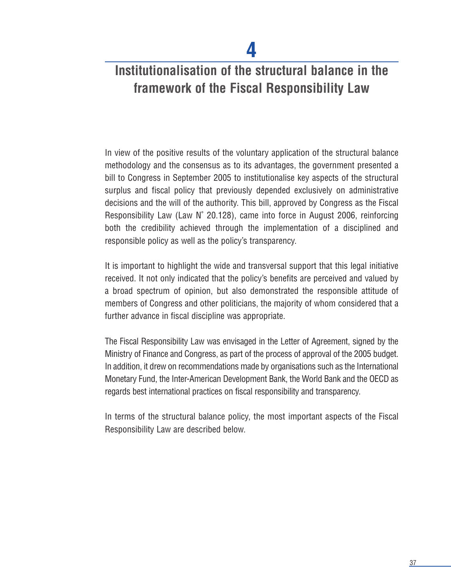## **Institutionalisation of the structural balance in the framework of the Fiscal Responsibility Law**

In view of the positive results of the voluntary application of the structural balance methodology and the consensus as to its advantages, the government presented a bill to Congress in September 2005 to institutionalise key aspects of the structural surplus and fiscal policy that previously depended exclusively on administrative decisions and the will of the authority. This bill, approved by Congress as the Fiscal Responsibility Law (Law N˚ 20.128), came into force in August 2006, reinforcing both the credibility achieved through the implementation of a disciplined and responsible policy as well as the policy's transparency.

It is important to highlight the wide and transversal support that this legal initiative received. It not only indicated that the policy's benefits are perceived and valued by a broad spectrum of opinion, but also demonstrated the responsible attitude of members of Congress and other politicians, the majority of whom considered that a further advance in fiscal discipline was appropriate.

The Fiscal Responsibility Law was envisaged in the Letter of Agreement, signed by the Ministry of Finance and Congress, as part of the process of approval of the 2005 budget. In addition, it drew on recommendations made by organisations such as the International Monetary Fund, the Inter-American Development Bank, the World Bank and the OECD as regards best international practices on fiscal responsibility and transparency.

In terms of the structural balance policy, the most important aspects of the Fiscal Responsibility Law are described below.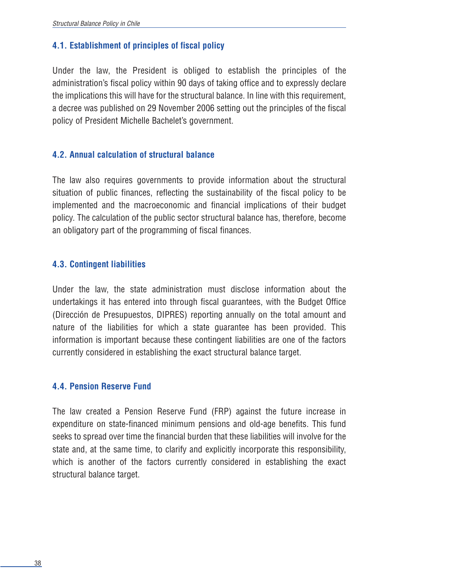#### **4.1. Establishment of principles of fiscal policy**

Under the law, the President is obliged to establish the principles of the administration's fiscal policy within 90 days of taking office and to expressly declare the implications this will have for the structural balance. In line with this requirement, a decree was published on 29 November 2006 setting out the principles of the fiscal policy of President Michelle Bachelet's government.

#### **4.2. Annual calculation of structural balance**

The law also requires governments to provide information about the structural situation of public finances, reflecting the sustainability of the fiscal policy to be implemented and the macroeconomic and financial implications of their budget policy. The calculation of the public sector structural balance has, therefore, become an obligatory part of the programming of fiscal finances.

#### **4.3. Contingent liabilities**

Under the law, the state administration must disclose information about the undertakings it has entered into through fiscal guarantees, with the Budget Office (Dirección de Presupuestos, DIPRES) reporting annually on the total amount and nature of the liabilities for which a state guarantee has been provided. This information is important because these contingent liabilities are one of the factors currently considered in establishing the exact structural balance target.

#### **4.4. Pension Reserve Fund**

The law created a Pension Reserve Fund (FRP) against the future increase in expenditure on state-financed minimum pensions and old-age benefits. This fund seeks to spread over time the financial burden that these liabilities will involve for the state and, at the same time, to clarify and explicitly incorporate this responsibility, which is another of the factors currently considered in establishing the exact structural balance target.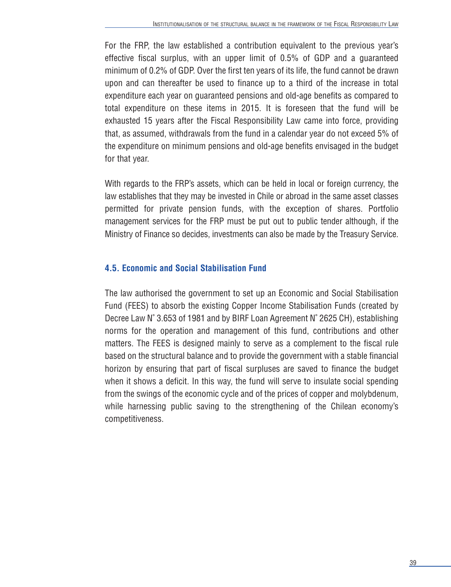For the FRP, the law established a contribution equivalent to the previous year's effective fiscal surplus, with an upper limit of 0.5% of GDP and a guaranteed minimum of 0.2% of GDP. Over the first ten years of its life, the fund cannot be drawn upon and can thereafter be used to finance up to a third of the increase in total expenditure each year on guaranteed pensions and old-age benefits as compared to total expenditure on these items in 2015. It is foreseen that the fund will be exhausted 15 years after the Fiscal Responsibility Law came into force, providing that, as assumed, withdrawals from the fund in a calendar year do not exceed 5% of the expenditure on minimum pensions and old-age benefits envisaged in the budget for that year.

With regards to the FRP's assets, which can be held in local or foreign currency, the law establishes that they may be invested in Chile or abroad in the same asset classes permitted for private pension funds, with the exception of shares. Portfolio management services for the FRP must be put out to public tender although, if the Ministry of Finance so decides, investments can also be made by the Treasury Service.

#### **4.5. Economic and Social Stabilisation Fund**

The law authorised the government to set up an Economic and Social Stabilisation Fund (FEES) to absorb the existing Copper Income Stabilisation Funds (created by Decree Law N˚ 3.653 of 1981 and by BIRF Loan Agreement N˚ 2625 CH), establishing norms for the operation and management of this fund, contributions and other matters. The FEES is designed mainly to serve as a complement to the fiscal rule based on the structural balance and to provide the government with a stable financial horizon by ensuring that part of fiscal surpluses are saved to finance the budget when it shows a deficit. In this way, the fund will serve to insulate social spending from the swings of the economic cycle and of the prices of copper and molybdenum, while harnessing public saving to the strengthening of the Chilean economy's competitiveness.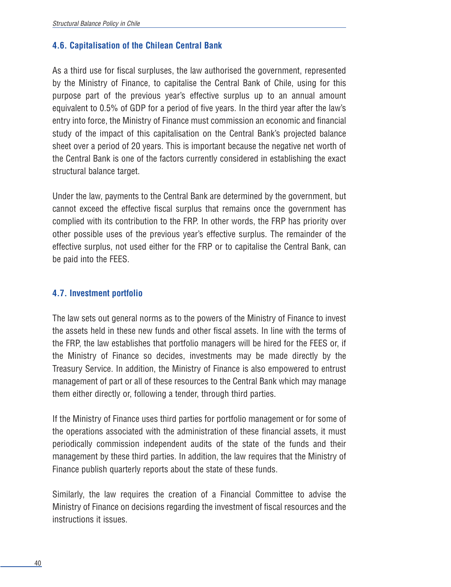#### **4.6. Capitalisation of the Chilean Central Bank**

As a third use for fiscal surpluses, the law authorised the government, represented by the Ministry of Finance, to capitalise the Central Bank of Chile, using for this purpose part of the previous year's effective surplus up to an annual amount equivalent to 0.5% of GDP for a period of five years. In the third year after the law's entry into force, the Ministry of Finance must commission an economic and financial study of the impact of this capitalisation on the Central Bank's projected balance sheet over a period of 20 years. This is important because the negative net worth of the Central Bank is one of the factors currently considered in establishing the exact structural balance target.

Under the law, payments to the Central Bank are determined by the government, but cannot exceed the effective fiscal surplus that remains once the government has complied with its contribution to the FRP. In other words, the FRP has priority over other possible uses of the previous year's effective surplus. The remainder of the effective surplus, not used either for the FRP or to capitalise the Central Bank, can be paid into the FEES.

#### **4.7. Investment portfolio**

The law sets out general norms as to the powers of the Ministry of Finance to invest the assets held in these new funds and other fiscal assets. In line with the terms of the FRP, the law establishes that portfolio managers will be hired for the FEES or, if the Ministry of Finance so decides, investments may be made directly by the Treasury Service. In addition, the Ministry of Finance is also empowered to entrust management of part or all of these resources to the Central Bank which may manage them either directly or, following a tender, through third parties.

If the Ministry of Finance uses third parties for portfolio management or for some of the operations associated with the administration of these financial assets, it must periodically commission independent audits of the state of the funds and their management by these third parties. In addition, the law requires that the Ministry of Finance publish quarterly reports about the state of these funds.

Similarly, the law requires the creation of a Financial Committee to advise the Ministry of Finance on decisions regarding the investment of fiscal resources and the instructions it issues.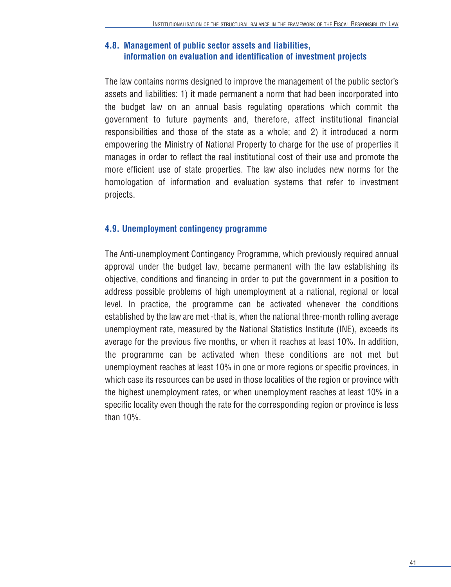#### **4.8. Management of public sector assets and liabilities, information on evaluation and identification of investment projects**

The law contains norms designed to improve the management of the public sector's assets and liabilities: 1) it made permanent a norm that had been incorporated into the budget law on an annual basis regulating operations which commit the government to future payments and, therefore, affect institutional financial responsibilities and those of the state as a whole; and 2) it introduced a norm empowering the Ministry of National Property to charge for the use of properties it manages in order to reflect the real institutional cost of their use and promote the more efficient use of state properties. The law also includes new norms for the homologation of information and evaluation systems that refer to investment projects.

#### **4.9. Unemployment contingency programme**

The Anti-unemployment Contingency Programme, which previously required annual approval under the budget law, became permanent with the law establishing its objective, conditions and financing in order to put the government in a position to address possible problems of high unemployment at a national, regional or local level. In practice, the programme can be activated whenever the conditions established by the law are met -that is, when the national three-month rolling average unemployment rate, measured by the National Statistics Institute (INE), exceeds its average for the previous five months, or when it reaches at least 10%. In addition, the programme can be activated when these conditions are not met but unemployment reaches at least 10% in one or more regions or specific provinces, in which case its resources can be used in those localities of the region or province with the highest unemployment rates, or when unemployment reaches at least 10% in a specific locality even though the rate for the corresponding region or province is less than 10%.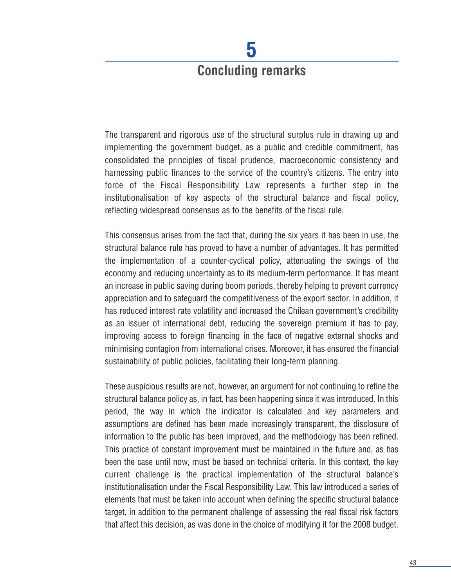# **Concluding remarks**

**5**

The transparent and rigorous use of the structural surplus rule in drawing up and implementing the government budget, as a public and credible commitment, has consolidated the principles of fiscal prudence, macroeconomic consistency and harnessing public finances to the service of the country's citizens. The entry into force of the Fiscal Responsibility Law represents a further step in the institutionalisation of key aspects of the structural balance and fiscal policy, reflecting widespread consensus as to the benefits of the fiscal rule.

This consensus arises from the fact that, during the six years it has been in use, the structural balance rule has proved to have a number of advantages. It has permitted the implementation of a counter-cyclical policy, attenuating the swings of the economy and reducing uncertainty as to its medium-term performance. It has meant an increase in public saving during boom periods, thereby helping to prevent currency appreciation and to safeguard the competitiveness of the export sector. In addition, it has reduced interest rate volatility and increased the Chilean government's credibility as an issuer of international debt, reducing the sovereign premium it has to pay, improving access to foreign financing in the face of negative external shocks and minimising contagion from international crises. Moreover, it has ensured the financial sustainability of public policies, facilitating their long-term planning.

These auspicious results are not, however, an argument for not continuing to refine the structural balance policy as, in fact, has been happening since it was introduced. In this period, the way in which the indicator is calculated and key parameters and assumptions are defined has been made increasingly transparent, the disclosure of information to the public has been improved, and the methodology has been refined. This practice of constant improvement must be maintained in the future and, as has been the case until now, must be based on technical criteria. In this context, the key current challenge is the practical implementation of the structural balance's institutionalisation under the Fiscal Responsibility Law. This law introduced a series of elements that must be taken into account when defining the specific structural balance target, in addition to the permanent challenge of assessing the real fiscal risk factors that affect this decision, as was done in the choice of modifying it for the 2008 budget.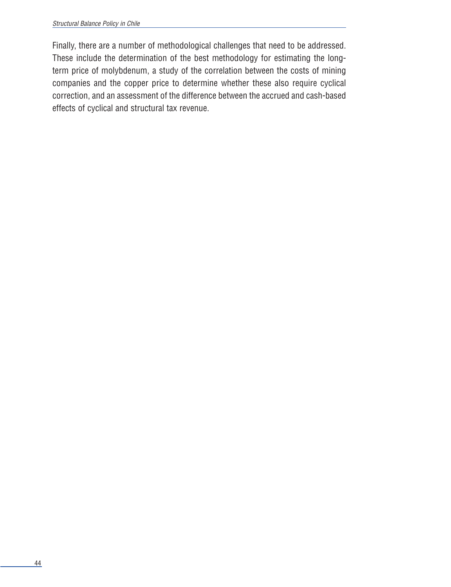Finally, there are a number of methodological challenges that need to be addressed. These include the determination of the best methodology for estimating the longterm price of molybdenum, a study of the correlation between the costs of mining companies and the copper price to determine whether these also require cyclical correction, and an assessment of the difference between the accrued and cash-based effects of cyclical and structural tax revenue.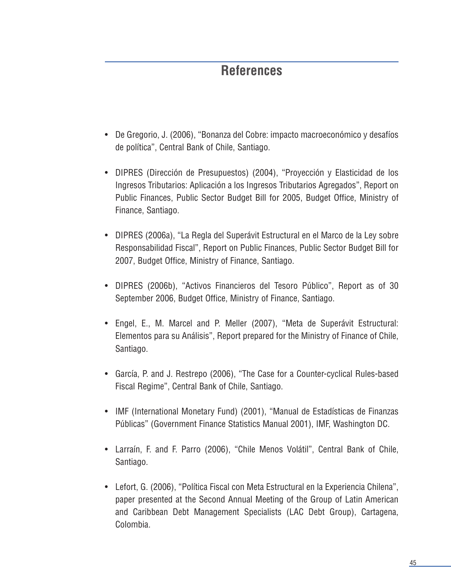### **References**

- De Gregorio, J. (2006), "Bonanza del Cobre: impacto macroeconómico y desafíos de política", Central Bank of Chile, Santiago.
- DIPRES (Dirección de Presupuestos) (2004), "Proyección y Elasticidad de los Ingresos Tributarios: Aplicación a los Ingresos Tributarios Agregados", Report on Public Finances, Public Sector Budget Bill for 2005, Budget Office, Ministry of Finance, Santiago.
- DIPRES (2006a), "La Regla del Superávit Estructural en el Marco de la Ley sobre Responsabilidad Fiscal", Report on Public Finances, Public Sector Budget Bill for 2007, Budget Office, Ministry of Finance, Santiago.
- DIPRES (2006b), "Activos Financieros del Tesoro Público", Report as of 30 September 2006, Budget Office, Ministry of Finance, Santiago.
- Engel, E., M. Marcel and P. Meller (2007), "Meta de Superávit Estructural: Elementos para su Análisis", Report prepared for the Ministry of Finance of Chile, Santiago.
- García, P. and J. Restrepo (2006), "The Case for a Counter-cyclical Rules-based Fiscal Regime", Central Bank of Chile, Santiago.
- IMF (International Monetary Fund) (2001), "Manual de Estadísticas de Finanzas Públicas" (Government Finance Statistics Manual 2001), IMF, Washington DC.
- Larraín, F. and F. Parro (2006), "Chile Menos Volátil", Central Bank of Chile, Santiago.
- Lefort, G. (2006), "Política Fiscal con Meta Estructural en la Experiencia Chilena", paper presented at the Second Annual Meeting of the Group of Latin American and Caribbean Debt Management Specialists (LAC Debt Group), Cartagena, Colombia.